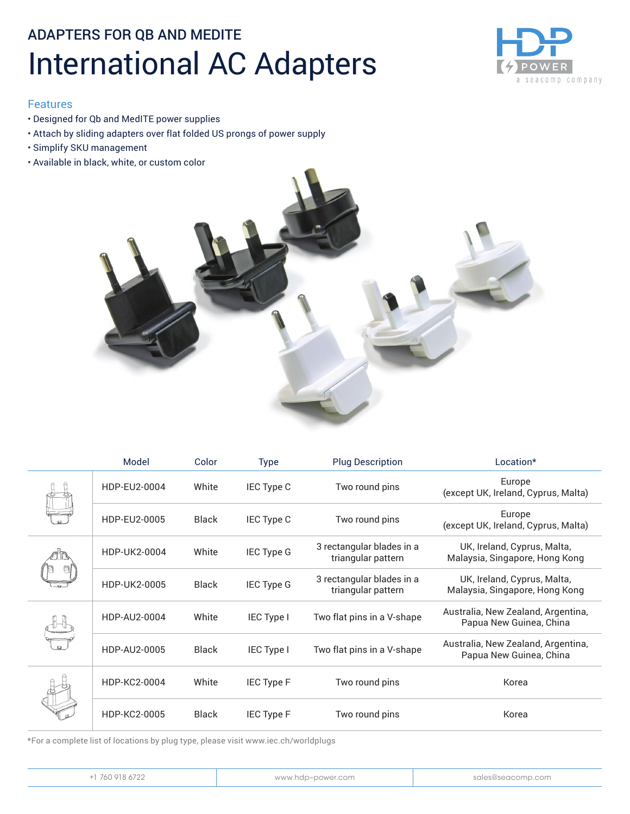### ADAPTERS FOR QB AND MEDITE International AC Adapters



#### Features

- Designed for Qb and MedITE power supplies
- Attach by sliding adapters over flat folded US prongs of power supply
- Simplify SKU management
- Available in black, white, or custom color



|  | Model        | Color        | <b>Type</b>       | <b>Plug Description</b>                         | Location*                                                     |
|--|--------------|--------------|-------------------|-------------------------------------------------|---------------------------------------------------------------|
|  | HDP-EU2-0004 | White        | IEC Type C        | Two round pins                                  | Europe<br>(except UK, Ireland, Cyprus, Malta)                 |
|  | HDP-EU2-0005 | <b>Black</b> | IEC Type C        | Two round pins                                  | Europe<br>(except UK, Ireland, Cyprus, Malta)                 |
|  | HDP-UK2-0004 | White        | <b>IEC Type G</b> | 3 rectangular blades in a<br>triangular pattern | UK, Ireland, Cyprus, Malta,<br>Malaysia, Singapore, Hong Kong |
|  | HDP-UK2-0005 | <b>Black</b> | <b>IEC Type G</b> | 3 rectangular blades in a<br>triangular pattern | UK, Ireland, Cyprus, Malta,<br>Malaysia, Singapore, Hong Kong |
|  | HDP-AU2-0004 | White        | IEC Type I        | Two flat pins in a V-shape                      | Australia, New Zealand, Argentina,<br>Papua New Guinea, China |
|  | HDP-AU2-0005 | Black        | <b>IEC Type I</b> | Two flat pins in a V-shape                      | Australia, New Zealand, Argentina,<br>Papua New Guinea, China |
|  | HDP-KC2-0004 | White        | <b>IEC Type F</b> | Two round pins                                  | Korea                                                         |
|  | HDP-KC2-0005 | <b>Black</b> | <b>IEC Type F</b> | Two round pins                                  | Korea                                                         |

\*For a complete list of locations by plug type, please visit www.iec.ch/worldplugs

| 760 918 6722<br>www.hdp-power.com<br>sales@seacomp.com |
|--------------------------------------------------------|
|--------------------------------------------------------|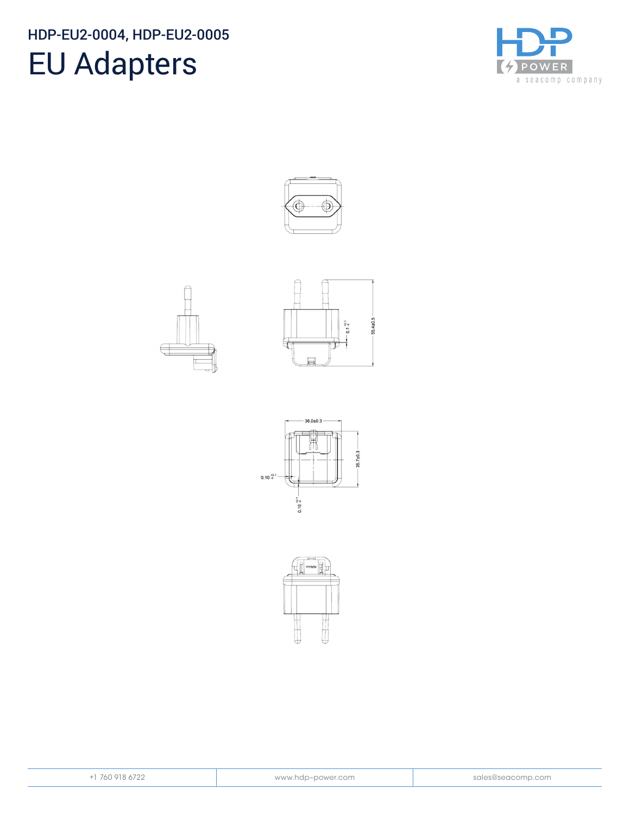### HDP-EU2-0004, HDP-EU2-0005

# EU Adapters













|  |  |  |  | -1 760 918 6722 |
|--|--|--|--|-----------------|
|--|--|--|--|-----------------|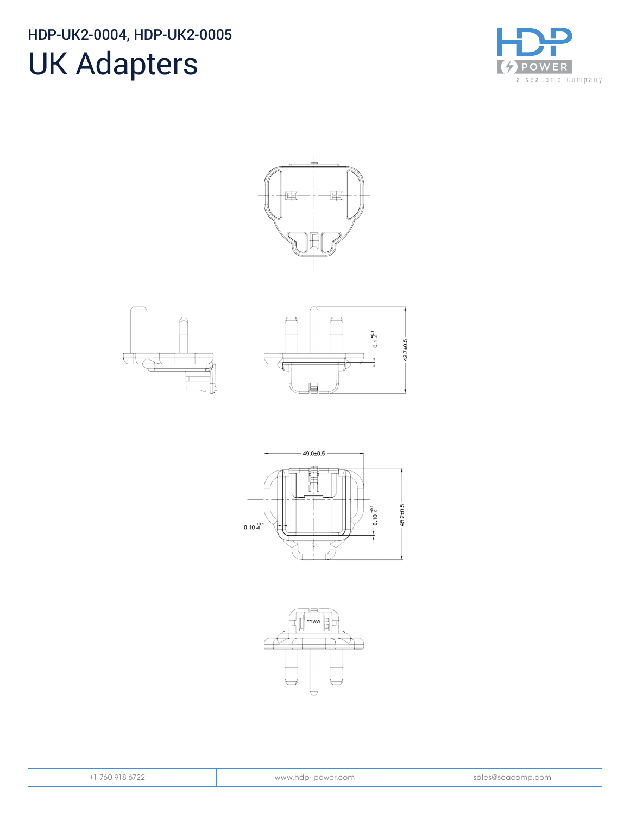#### HDP-UK2-0004, HDP-UK2-0005

## UK Adapters



国 囲









|  | $+1$ 760 918 6722 |  |
|--|-------------------|--|
|  |                   |  |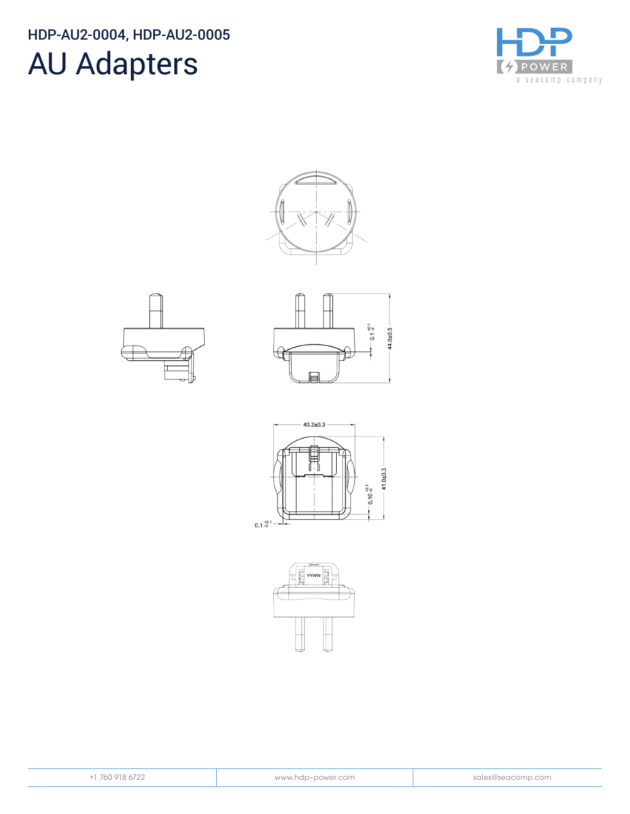#### HDP-AU2-0004, HDP-AU2-0005

### AU Adapters













| $\epsilon$<br>۱n<br>r | 918 | Y. |
|-----------------------|-----|----|
|                       |     |    |